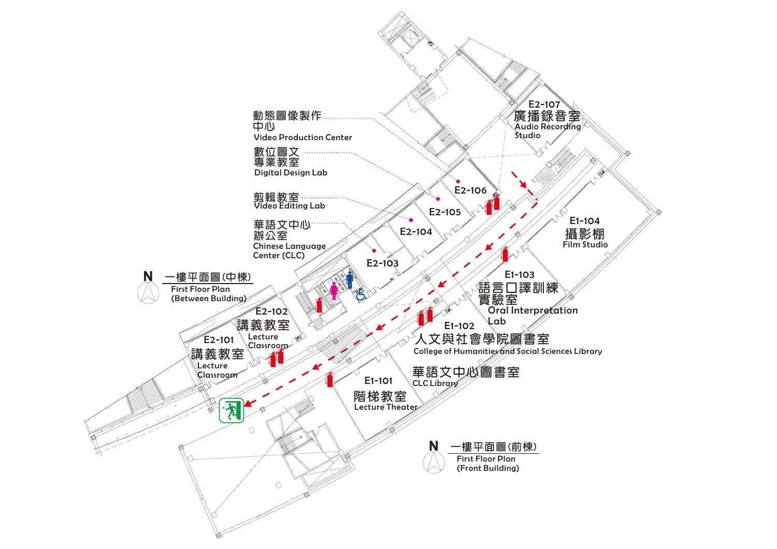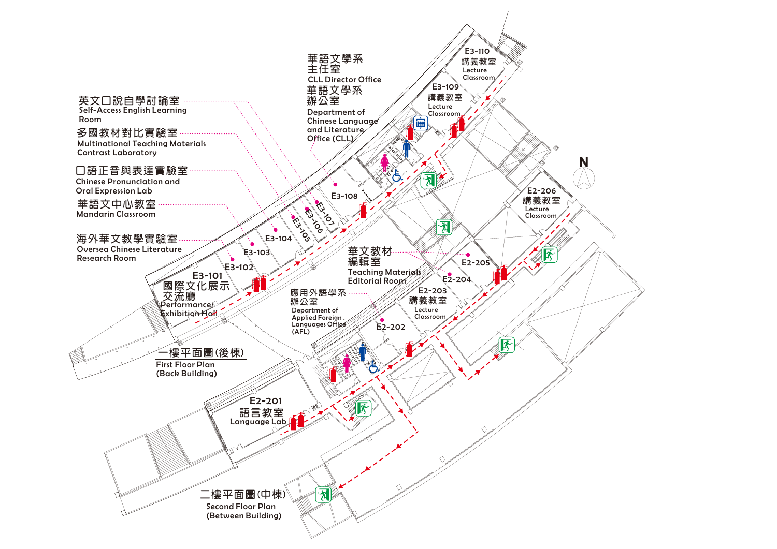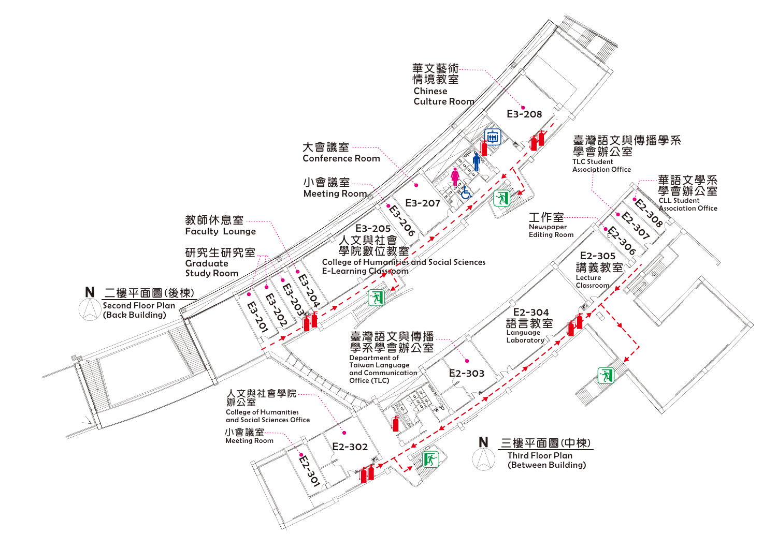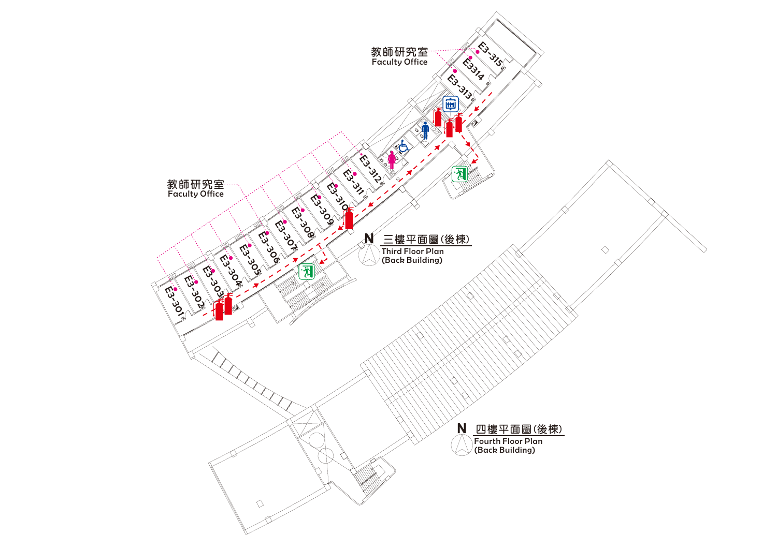